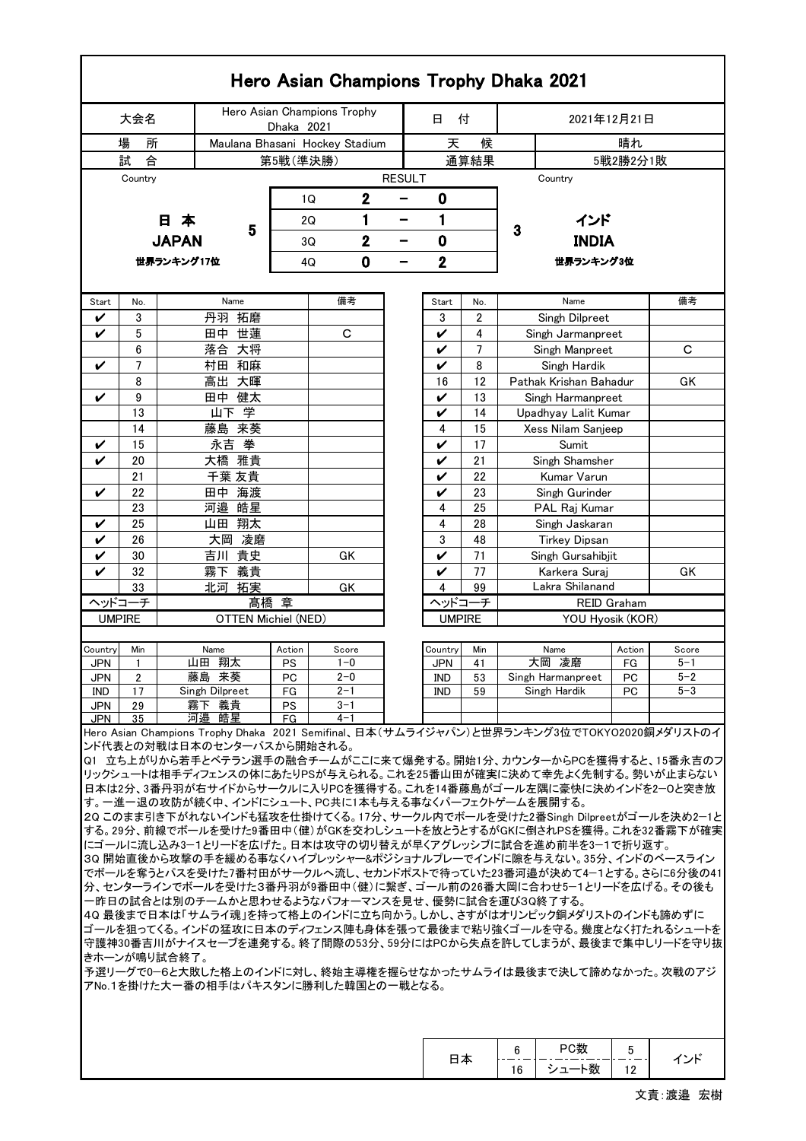| Hero Asian Champions Trophy Dhaka 2021                                                                                                                                                                                                                                                                                                                                                                                                                                                                                                                                                                                                                                                                                                                                                                                                                                                                                                                                                                                                                                                                                                                                                                            |                |              |                            |                 |                                |               |               |          |                                        |               |         |  |  |
|-------------------------------------------------------------------------------------------------------------------------------------------------------------------------------------------------------------------------------------------------------------------------------------------------------------------------------------------------------------------------------------------------------------------------------------------------------------------------------------------------------------------------------------------------------------------------------------------------------------------------------------------------------------------------------------------------------------------------------------------------------------------------------------------------------------------------------------------------------------------------------------------------------------------------------------------------------------------------------------------------------------------------------------------------------------------------------------------------------------------------------------------------------------------------------------------------------------------|----------------|--------------|----------------------------|-----------------|--------------------------------|---------------|---------------|----------|----------------------------------------|---------------|---------|--|--|
| 大会名                                                                                                                                                                                                                                                                                                                                                                                                                                                                                                                                                                                                                                                                                                                                                                                                                                                                                                                                                                                                                                                                                                                                                                                                               |                |              |                            | Dhaka 2021      | Hero Asian Champions Trophy    |               | 日             | 付        | 2021年12月21日                            |               |         |  |  |
| 場<br>所                                                                                                                                                                                                                                                                                                                                                                                                                                                                                                                                                                                                                                                                                                                                                                                                                                                                                                                                                                                                                                                                                                                                                                                                            |                |              |                            |                 | Maulana Bhasani Hockey Stadium |               | 天             | 候        |                                        | 晴れ            |         |  |  |
| 試<br>合<br>第5戦(準決勝)                                                                                                                                                                                                                                                                                                                                                                                                                                                                                                                                                                                                                                                                                                                                                                                                                                                                                                                                                                                                                                                                                                                                                                                                |                |              |                            |                 | 通算結果                           |               |               |          |                                        | 5戦2勝2分1敗      |         |  |  |
|                                                                                                                                                                                                                                                                                                                                                                                                                                                                                                                                                                                                                                                                                                                                                                                                                                                                                                                                                                                                                                                                                                                                                                                                                   | Country        |              |                            |                 |                                | <b>RESULT</b> |               |          | Country                                |               |         |  |  |
|                                                                                                                                                                                                                                                                                                                                                                                                                                                                                                                                                                                                                                                                                                                                                                                                                                                                                                                                                                                                                                                                                                                                                                                                                   |                |              |                            | 1Q              | $\mathbf 2$                    |               | $\bf{0}$      |          |                                        |               |         |  |  |
|                                                                                                                                                                                                                                                                                                                                                                                                                                                                                                                                                                                                                                                                                                                                                                                                                                                                                                                                                                                                                                                                                                                                                                                                                   |                | 日本           |                            | 2Q              | 1                              | -             | 1             |          | インド                                    |               |         |  |  |
|                                                                                                                                                                                                                                                                                                                                                                                                                                                                                                                                                                                                                                                                                                                                                                                                                                                                                                                                                                                                                                                                                                                                                                                                                   |                |              | 5                          |                 |                                |               |               |          | 3<br><b>INDIA</b>                      |               |         |  |  |
|                                                                                                                                                                                                                                                                                                                                                                                                                                                                                                                                                                                                                                                                                                                                                                                                                                                                                                                                                                                                                                                                                                                                                                                                                   |                | <b>JAPAN</b> |                            | 3Q              | $\overline{2}$                 | -             | 0             |          |                                        |               |         |  |  |
|                                                                                                                                                                                                                                                                                                                                                                                                                                                                                                                                                                                                                                                                                                                                                                                                                                                                                                                                                                                                                                                                                                                                                                                                                   |                | 世界ランキング17位   |                            | 4Q              | 0                              | -             | 2             |          | 世界ランキング3位                              |               |         |  |  |
|                                                                                                                                                                                                                                                                                                                                                                                                                                                                                                                                                                                                                                                                                                                                                                                                                                                                                                                                                                                                                                                                                                                                                                                                                   |                |              |                            |                 |                                |               |               |          |                                        |               |         |  |  |
| Start                                                                                                                                                                                                                                                                                                                                                                                                                                                                                                                                                                                                                                                                                                                                                                                                                                                                                                                                                                                                                                                                                                                                                                                                             | No.            |              | Name                       |                 | 備考                             |               | Start         | No.      | Name                                   |               | 備考      |  |  |
| ✓                                                                                                                                                                                                                                                                                                                                                                                                                                                                                                                                                                                                                                                                                                                                                                                                                                                                                                                                                                                                                                                                                                                                                                                                                 | 3              |              | 拓磨<br>丹羽                   |                 |                                |               | 3             | 2        | Singh Dilpreet                         |               |         |  |  |
| V                                                                                                                                                                                                                                                                                                                                                                                                                                                                                                                                                                                                                                                                                                                                                                                                                                                                                                                                                                                                                                                                                                                                                                                                                 | 5              |              | 世蓮<br>田中                   |                 | C                              |               | V             | 4        | Singh Jarmanpreet                      |               |         |  |  |
|                                                                                                                                                                                                                                                                                                                                                                                                                                                                                                                                                                                                                                                                                                                                                                                                                                                                                                                                                                                                                                                                                                                                                                                                                   | 6              |              | 落合 大将                      |                 |                                |               | V             | 7        | Singh Manpreet                         | С             |         |  |  |
| V                                                                                                                                                                                                                                                                                                                                                                                                                                                                                                                                                                                                                                                                                                                                                                                                                                                                                                                                                                                                                                                                                                                                                                                                                 | $\overline{7}$ |              | 村田 和麻                      |                 |                                |               | V             | 8        | Singh Hardik<br>Pathak Krishan Bahadur |               |         |  |  |
| V                                                                                                                                                                                                                                                                                                                                                                                                                                                                                                                                                                                                                                                                                                                                                                                                                                                                                                                                                                                                                                                                                                                                                                                                                 | 8<br>9         |              | 高出 大暉<br>田中 健太             |                 |                                |               | 16            | 12<br>13 | Singh Harmanpreet                      |               | GK      |  |  |
|                                                                                                                                                                                                                                                                                                                                                                                                                                                                                                                                                                                                                                                                                                                                                                                                                                                                                                                                                                                                                                                                                                                                                                                                                   | 13             |              | 山下学                        |                 |                                |               | V<br>V        | 14       | Upadhyay Lalit Kumar                   |               |         |  |  |
|                                                                                                                                                                                                                                                                                                                                                                                                                                                                                                                                                                                                                                                                                                                                                                                                                                                                                                                                                                                                                                                                                                                                                                                                                   | 14             |              | 藤島 来葵                      |                 |                                |               | 4             | 15       | Xess Nilam Sanjeep                     |               |         |  |  |
| V                                                                                                                                                                                                                                                                                                                                                                                                                                                                                                                                                                                                                                                                                                                                                                                                                                                                                                                                                                                                                                                                                                                                                                                                                 | 15             |              | 拳<br>永吉                    |                 |                                |               | V             | 17       | Sumit                                  |               |         |  |  |
| V                                                                                                                                                                                                                                                                                                                                                                                                                                                                                                                                                                                                                                                                                                                                                                                                                                                                                                                                                                                                                                                                                                                                                                                                                 | 20             |              | 雅貴<br>大橋                   |                 |                                |               | V             | 21       | Singh Shamsher                         |               |         |  |  |
|                                                                                                                                                                                                                                                                                                                                                                                                                                                                                                                                                                                                                                                                                                                                                                                                                                                                                                                                                                                                                                                                                                                                                                                                                   | 21             |              | 千葉 友貴                      |                 |                                |               | V             | 22       | Kumar Varun                            |               |         |  |  |
| V                                                                                                                                                                                                                                                                                                                                                                                                                                                                                                                                                                                                                                                                                                                                                                                                                                                                                                                                                                                                                                                                                                                                                                                                                 | 22             |              | 海渡<br>田中                   |                 |                                |               | V             | 23       | Singh Gurinder                         |               |         |  |  |
|                                                                                                                                                                                                                                                                                                                                                                                                                                                                                                                                                                                                                                                                                                                                                                                                                                                                                                                                                                                                                                                                                                                                                                                                                   | 23             |              | 皓星<br>河邉                   |                 |                                |               | 4             | 25       | PAL Raj Kumar                          |               |         |  |  |
| V                                                                                                                                                                                                                                                                                                                                                                                                                                                                                                                                                                                                                                                                                                                                                                                                                                                                                                                                                                                                                                                                                                                                                                                                                 | 25             |              | 翔太<br>山田                   |                 |                                |               | 4             | 28       | Singh Jaskaran                         |               |         |  |  |
| V                                                                                                                                                                                                                                                                                                                                                                                                                                                                                                                                                                                                                                                                                                                                                                                                                                                                                                                                                                                                                                                                                                                                                                                                                 | 26             |              | 凌磨<br>大岡                   |                 |                                |               | 3             | 48       | <b>Tirkey Dipsan</b>                   |               |         |  |  |
| V                                                                                                                                                                                                                                                                                                                                                                                                                                                                                                                                                                                                                                                                                                                                                                                                                                                                                                                                                                                                                                                                                                                                                                                                                 | 30             |              | 貴史<br>吉川                   |                 | GK                             |               | V             | 71       | Singh Gursahibjit                      | Karkera Suraj |         |  |  |
| 32<br>義貴<br>霧下<br>V<br>33<br>GK                                                                                                                                                                                                                                                                                                                                                                                                                                                                                                                                                                                                                                                                                                                                                                                                                                                                                                                                                                                                                                                                                                                                                                                   |                |              |                            |                 |                                |               | V<br>4        | 77<br>99 | Lakra Shilanand                        |               | GK      |  |  |
| 北河<br>拓実<br>ヘッドコーチ                                                                                                                                                                                                                                                                                                                                                                                                                                                                                                                                                                                                                                                                                                                                                                                                                                                                                                                                                                                                                                                                                                                                                                                                |                |              |                            | 髙橋 章            |                                |               | ヘッドコーチ        |          | <b>REID Graham</b>                     |               |         |  |  |
| <b>UMPIRE</b>                                                                                                                                                                                                                                                                                                                                                                                                                                                                                                                                                                                                                                                                                                                                                                                                                                                                                                                                                                                                                                                                                                                                                                                                     |                |              | <b>OTTEN Michiel (NED)</b> |                 |                                |               | <b>UMPIRE</b> |          | YOU Hyosik (KOR)                       |               |         |  |  |
| Country                                                                                                                                                                                                                                                                                                                                                                                                                                                                                                                                                                                                                                                                                                                                                                                                                                                                                                                                                                                                                                                                                                                                                                                                           | Min            |              | Name                       | Action          | Score                          |               | Country       | Min      | Name                                   | Action        | Score   |  |  |
| JPN                                                                                                                                                                                                                                                                                                                                                                                                                                                                                                                                                                                                                                                                                                                                                                                                                                                                                                                                                                                                                                                                                                                                                                                                               | 1              |              | 山田 翔太                      | PS              | $1 - 0$                        |               | JPN           | 41       | 大岡 凌磨                                  | FG            | $5 - 1$ |  |  |
| JPN                                                                                                                                                                                                                                                                                                                                                                                                                                                                                                                                                                                                                                                                                                                                                                                                                                                                                                                                                                                                                                                                                                                                                                                                               | $\overline{2}$ |              | 藤島 来葵                      | PC              | $2 - 0$                        |               | <b>IND</b>    | 53       | Singh Harmanpreet                      | PC            | $5 - 2$ |  |  |
| IND                                                                                                                                                                                                                                                                                                                                                                                                                                                                                                                                                                                                                                                                                                                                                                                                                                                                                                                                                                                                                                                                                                                                                                                                               | 17             |              | Singh Dilpreet<br>霧下 義貴    | FG<br><b>PS</b> | $2 - 1$<br>$3 - 1$             |               | IND           | 59       | Singh Hardik                           | <b>PC</b>     | $5 - 3$ |  |  |
| JPN<br>JPN                                                                                                                                                                                                                                                                                                                                                                                                                                                                                                                                                                                                                                                                                                                                                                                                                                                                                                                                                                                                                                                                                                                                                                                                        | 29<br>35       |              | 河邉 皓星                      | FG              | $4 - 1$                        |               |               |          |                                        |               |         |  |  |
| Hero Asian Champions Trophy Dhaka 2021 Semifinal、日本(サムライジャパン)と世界ランキング3位でTOKYO2020銅メダリストのイ<br>ンド代表との対戦は日本のセンターパスから開始される。<br> Q1 立ち上がりから若手とベテラン選手の融合チームがここに来て爆発する。開始1分、カウンターからPCを獲得すると、15番永吉のフ<br>リックシュートは相手ディフェンスの体にあたりPSが与えられる。これを25番山田が確実に決めて幸先よく先制する。勢いが止まらない<br>日本は2分、3番丹羽が右サイドからサークルに入りPCを獲得する。これを14番藤島がゴール左隅に豪快に決めインドを2―Oと突き放<br>す。一進一退の攻防が続く中、インドにシュート、PC共に1本も与える事なくパーフェクトゲームを展開する。<br>20 このまま引き下がれないインドも猛攻を仕掛けてくる。17分、サークル内でボールを受けた2番Singh Dilpreetがゴールを決め2-1と<br>する。29分、前線でボールを受けた9番田中(健)がGKを交わしシュートを放とうとするがGKに倒されPSを獲得。これを32番霧下が確実<br> にゴールに流し込み3−1とリードを広げた。日本は攻守の切り替えが早くアグレッシブに試合を進め前半を3−1で折り返す。<br> 30 開始直後から攻撃の手を緩める事なくハイプレッシャ―&ポジショナルプレ―でインドに隙を与えない。35分、インドのベースライン<br>でボールを奪うとパスを受けた7番村田がサークルへ流し、セカンドポストで待っていた23番河邉が決めて4-1とする。さらに6分後の41<br>分、センターラインでボールを受けた3番丹羽が9番田中(健)に繋ぎ、ゴール前の26番大岡に合わせ5–1とリードを広げる。その後も<br> 一昨日の試合とは別のチームかと思わせるようなパフォーマンスを見せ、優勢に試合を運び3Q終了する。<br> 40 最後まで日本は「サムライ魂」を持って格上のインドに立ち向かう。しかし、さすがはオリンピック銅メダリストのインドも諦めずに<br> ゴールを狙ってくる。インドの猛攻に日本のディフェンス陣も身体を張って最後まで粘り強くゴールを守る。幾度となく打たれるシュートを<br>守護神30番吉川がナイスセーブを連発する。終了間際の53分、59分にはPCから失点を許してしまうが、最後まで集中しリードを守り抜<br>きホーンが鳴り試合終了。<br>予選リーグで0−6と大敗した格上のインドに対し、終始主導権を握らせなかったサムライは最後まで決して諦めなかった。次戦のアジ<br>アNo.1を掛けた大一番の相手はパキスタンに勝利した韓国との一戦となる。 |                |              |                            |                 |                                |               |               |          |                                        |               |         |  |  |

|  |    | Ale F | $\mathbf{r}$ |  |
|--|----|-------|--------------|--|
|  | 16 | 111   | ، ا          |  |